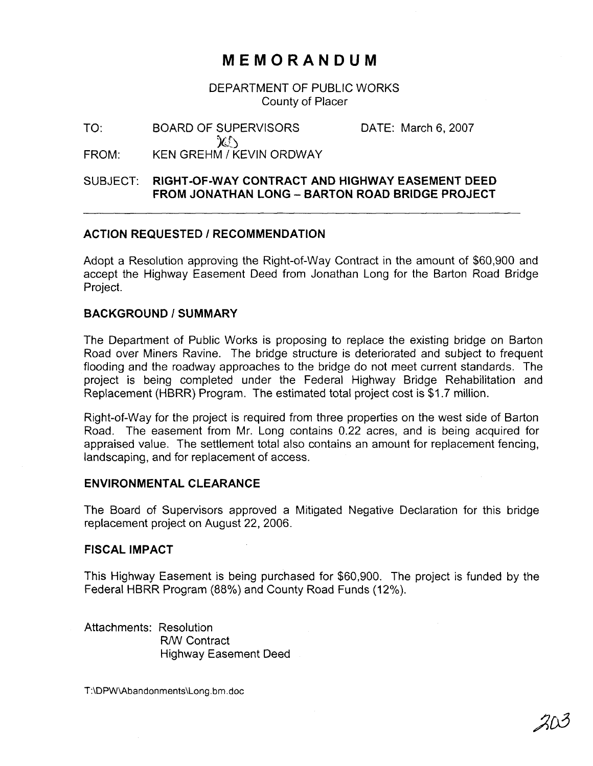# **MEMORANDUM**

DEPARTMENT OF PUBLIC WORKS County of Placer

TO: BOARD OF SUPERVISORS DATE: March 6, 2007  $\chi$ FROM: KEN GREHM / KEVIN ORDWAY

## SUBJECT: **RIGHT-OF-WAY CONTRACT AND HIGHWAY EASEMENT DEED FROM JONATHAN LONG** - **BARTON ROAD BRIDGE PROJECT**

### **ACTION REQUESTED** I **RECOMMENDATION**

Adopt a Resolution approving the Right-of-way Contract in the amount of \$60,900 and accept the Highway Easement Deed from Jonathan Long for the Barton Road Bridge Project.

#### **BACKGROUND** 1 **SUMMARY**

The Department of Public Works is proposing to replace the existing bridge on Barton Road over Miners Ravine. The bridge structure is deteriorated and subject to frequent flooding and the roadway approaches to the bridge do not meet current standards. The project is being completed under the Federal Highway Bridge Rehabilitation and Replacement (HBRR) Program. The estimated total project cost is \$1.7 million.

Right-of-way for the project is required from three properties on the west side of Barton Road. The easement from Mr. Long contains 0.22 acres, and is being acquired for appraised value. The settlement total also contains an amount for replacement fencing, landscaping, and for replacement of access.

#### **ENVIRONMENTAL CLEARANCE**

The Board of Supervisors approved a Mitigated Negative Declaration for this bridge replacement project on August 22, 2006.

#### **FISCAL IMPACT**

This Highway Easement is being purchased for \$60,900. The project is funded by the Federal HBRR Program (88%) and County Road Funds (12%).

Attachments: Resolution R/W Contract Highway Easement Deed

T:\DPW\Abandonments\Long.bm.doc